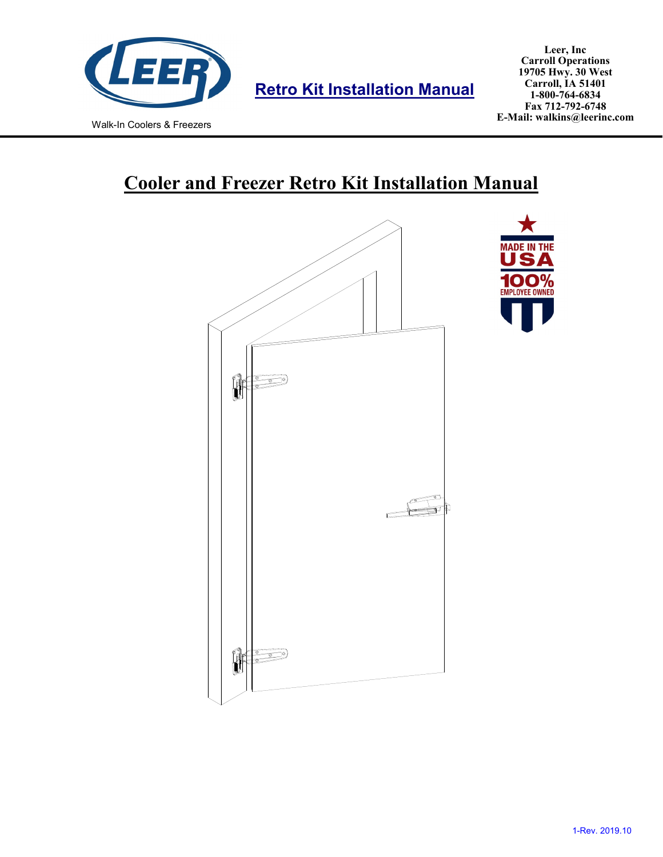

**Retro Kit Installation Manual**

# **Cooler and Freezer Retro Kit Installation Manual**

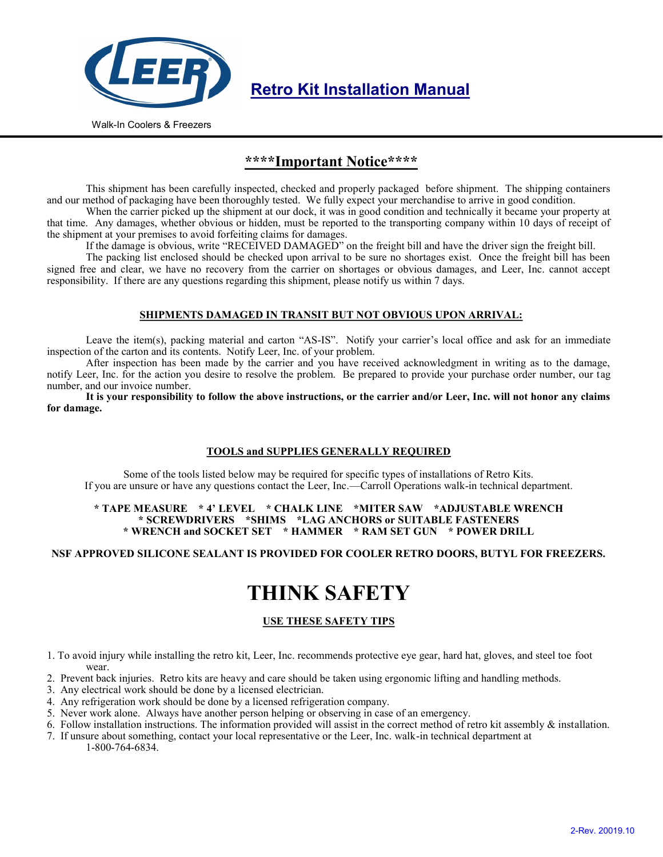

**Retro Kit Installation Manual**

Walk-In Coolers & Freezers

### **\*\*\*\*Important Notice\*\*\*\***

This shipment has been carefully inspected, checked and properly packaged before shipment. The shipping containers and our method of packaging have been thoroughly tested. We fully expect your merchandise to arrive in good condition.

When the carrier picked up the shipment at our dock, it was in good condition and technically it became your property at that time. Any damages, whether obvious or hidden, must be reported to the transporting company within 10 days of receipt of the shipment at your premises to avoid forfeiting claims for damages.

If the damage is obvious, write "RECEIVED DAMAGED" on the freight bill and have the driver sign the freight bill.

The packing list enclosed should be checked upon arrival to be sure no shortages exist. Once the freight bill has been signed free and clear, we have no recovery from the carrier on shortages or obvious damages, and Leer, Inc. cannot accept responsibility. If there are any questions regarding this shipment, please notify us within 7 days.

#### **SHIPMENTS DAMAGED IN TRANSIT BUT NOT OBVIOUS UPON ARRIVAL:**

Leave the item(s), packing material and carton "AS-IS". Notify your carrier's local office and ask for an immediate inspection of the carton and its contents. Notify Leer, Inc. of your problem.

After inspection has been made by the carrier and you have received acknowledgment in writing as to the damage, notify Leer, Inc. for the action you desire to resolve the problem. Be prepared to provide your purchase order number, our tag number, and our invoice number.

**It is your responsibility to follow the above instructions, or the carrier and/or Leer, Inc. will not honor any claims for damage.** 

#### **TOOLS and SUPPLIES GENERALLY REQUIRED**

Some of the tools listed below may be required for specific types of installations of Retro Kits. If you are unsure or have any questions contact the Leer, Inc.—Carroll Operations walk-in technical department.

#### **\* TAPE MEASURE \* 4' LEVEL \* CHALK LINE \*MITER SAW \*ADJUSTABLE WRENCH \* SCREWDRIVERS \*SHIMS \*LAG ANCHORS or SUITABLE FASTENERS \* WRENCH and SOCKET SET \* HAMMER \* RAM SET GUN \* POWER DRILL**

#### **NSF APPROVED SILICONE SEALANT IS PROVIDED FOR COOLER RETRO DOORS, BUTYL FOR FREEZERS.**

## **THINK SAFETY**

#### **USE THESE SAFETY TIPS**

1. To avoid injury while installing the retro kit, Leer, Inc. recommends protective eye gear, hard hat, gloves, and steel toe foot wear.

- 2. Prevent back injuries. Retro kits are heavy and care should be taken using ergonomic lifting and handling methods.
- 3. Any electrical work should be done by a licensed electrician.
- 4. Any refrigeration work should be done by a licensed refrigeration company.
- 5. Never work alone. Always have another person helping or observing in case of an emergency.
- 6. Follow installation instructions. The information provided will assist in the correct method of retro kit assembly & installation.
- 7. If unsure about something, contact your local representative or the Leer, Inc. walk-in technical department at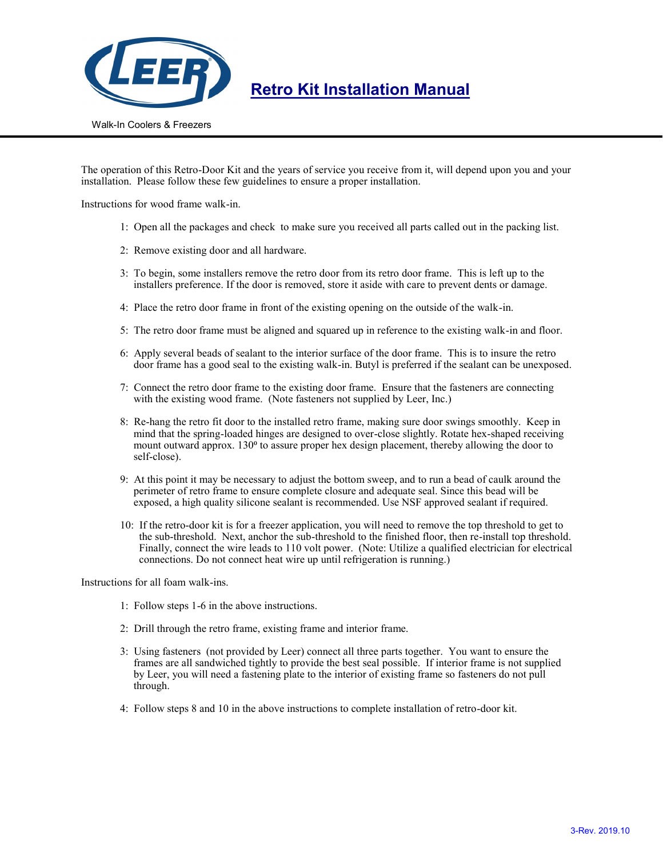

### **Retro Kit Installation Manual**

Walk-In Coolers & Freezers

The operation of this Retro-Door Kit and the years of service you receive from it, will depend upon you and your installation. Please follow these few guidelines to ensure a proper installation.

Instructions for wood frame walk-in.

- 1: Open all the packages and check to make sure you received all parts called out in the packing list.
- 2: Remove existing door and all hardware.
- 3: To begin, some installers remove the retro door from its retro door frame. This is left up to the installers preference. If the door is removed, store it aside with care to prevent dents or damage.
- 4: Place the retro door frame in front of the existing opening on the outside of the walk-in.
- 5: The retro door frame must be aligned and squared up in reference to the existing walk-in and floor.
- 6: Apply several beads of sealant to the interior surface of the door frame. This is to insure the retro door frame has a good seal to the existing walk-in. Butyl is preferred if the sealant can be unexposed.
- 7: Connect the retro door frame to the existing door frame. Ensure that the fasteners are connecting with the existing wood frame. (Note fasteners not supplied by Leer, Inc.)
- 8: Re-hang the retro fit door to the installed retro frame, making sure door swings smoothly. Keep in mind that the spring-loaded hinges are designed to over-close slightly. Rotate hex-shaped receiving mount outward approx. 130<sup>o</sup> to assure proper hex design placement, thereby allowing the door to self-close).
- 9: At this point it may be necessary to adjust the bottom sweep, and to run a bead of caulk around the perimeter of retro frame to ensure complete closure and adequate seal. Since this bead will be exposed, a high quality silicone sealant is recommended. Use NSF approved sealant if required.
- 10: If the retro-door kit is for a freezer application, you will need to remove the top threshold to get to the sub-threshold. Next, anchor the sub-threshold to the finished floor, then re-install top threshold. Finally, connect the wire leads to 110 volt power. (Note: Utilize a qualified electrician for electrical connections. Do not connect heat wire up until refrigeration is running.)

Instructions for all foam walk-ins.

- 1: Follow steps 1-6 in the above instructions.
- 2: Drill through the retro frame, existing frame and interior frame.
- 3: Using fasteners (not provided by Leer) connect all three parts together. You want to ensure the frames are all sandwiched tightly to provide the best seal possible. If interior frame is not supplied by Leer, you will need a fastening plate to the interior of existing frame so fasteners do not pull through.
- 4: Follow steps 8 and 10 in the above instructions to complete installation of retro-door kit.